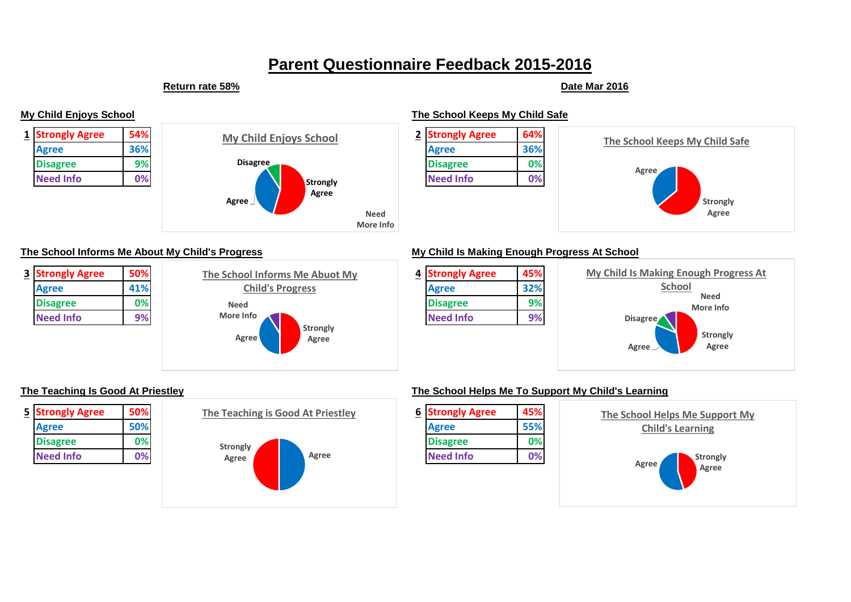# **Parent Questionnaire Feedback 2015-2016**

### **Return rate 58% Date Mar 2016**

**My Child Enjoys School The School Keeps My Child Safe**







### **The School Informs Me About My Child's Progress My Child Is Making Enough Progress At School**







| $\overline{5}$ | <b>Strongly Agree</b> | 50% |
|----------------|-----------------------|-----|
|                | Agree                 | 50% |
|                | <b>Disagree</b>       | 0%  |
|                | <b>Need Info</b>      | 0%  |



### **The Teaching Is Good At Priestley The School Helps Me To Support My Child's Learning**

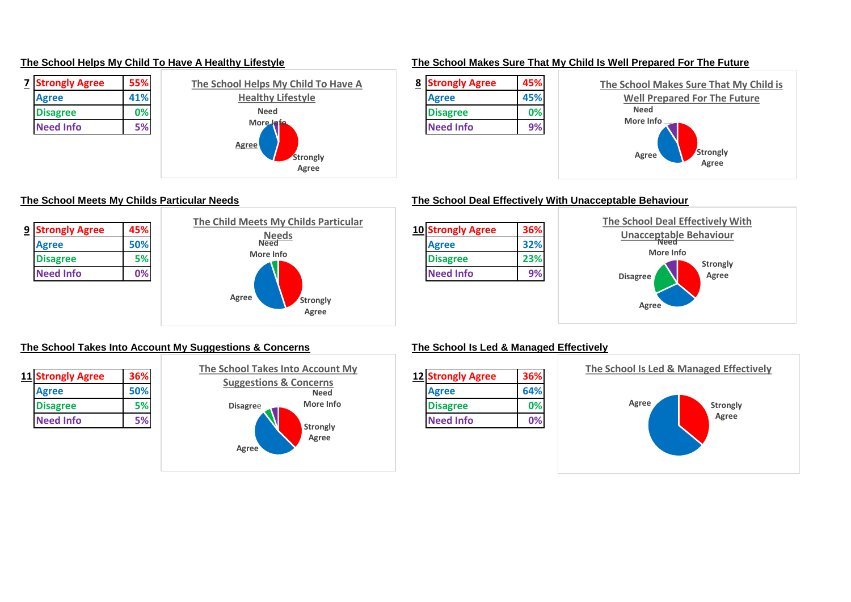



### **The School Helps My Child To Have A Healthy Lifestyle The School Makes Sure That My Child Is Well Prepared For The Future**





### **The School Meets My Childs Particular Needs The School Deal Effectively With Unacceptable Behaviour**



### **The School Takes Into Account My Suggestions & Concerns The School Is Led & Managed Effectively**

| 11 Strongly Agree | 36% |
|-------------------|-----|
| Agree             | 50% |
| <b>Disagree</b>   | 5%  |
| <b>Need Info</b>  |     |



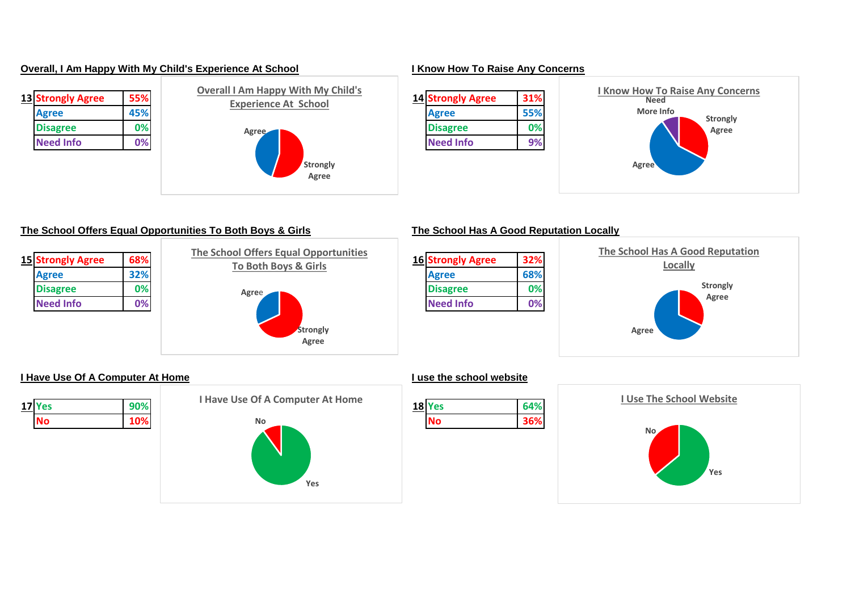### **Overall, I Am Happy With My Child's Experience At School I Know How To Raise Any Concerns**

| 13 Strongly Agree | 55% |
|-------------------|-----|
| Agree             | 45% |
| <b>Disagree</b>   | 0%  |
| <b>Need Info</b>  | 0%  |
|                   |     |



## **13 Strongly Agree 55% 14 Strongly Agree 31% Strongly Agree Agree Need More Info I Know How To Raise Any Concerns**

### **The School Offers Equal Opportunities To Both Boys & Girls The School Has A Good Reputation Locally**

| 15 Strongly Agree | 68% |
|-------------------|-----|
| Agree             | 32% |
| <b>Disagree</b>   | 0%  |
| <b>Need Info</b>  | 0%  |







### **I Have Use Of A Computer At Home I use the school website**